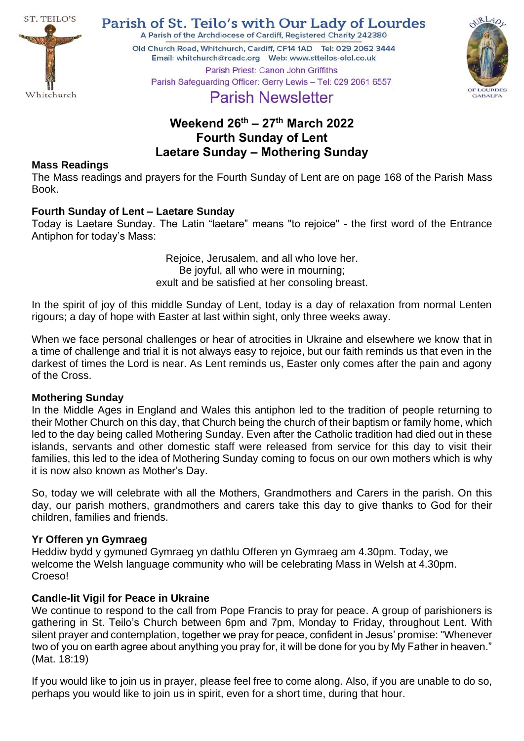

Parish of St. Teilo's with Our Lady of Lourdes

A Parish of the Archdiocese of Cardiff, Registered Charity 242380

Old Church Road, Whitchurch, Cardiff, CF14 1AD Tel: 029 2062 3444 Parish Priest: Canon John Griffiths



Parish Safeguarding Officer: Gerry Lewis - Tel: 029 2061 6557

# **Parish Newsletter**

## **Weekend 26th – 27 th March 2022 Fourth Sunday of Lent Laetare Sunday – Mothering Sunday**

## **Mass Readings**

The Mass readings and prayers for the Fourth Sunday of Lent are on page 168 of the Parish Mass Book.

## **Fourth Sunday of Lent – Laetare Sunday**

Today is Laetare Sunday. The Latin "laetare" means "to rejoice" - the first word of the Entrance Antiphon for today's Mass:

> Rejoice, Jerusalem, and all who love her. Be joyful, all who were in mourning; exult and be satisfied at her consoling breast.

In the spirit of joy of this middle Sunday of Lent, today is a day of relaxation from normal Lenten rigours; a day of hope with Easter at last within sight, only three weeks away.

When we face personal challenges or hear of atrocities in Ukraine and elsewhere we know that in a time of challenge and trial it is not always easy to rejoice, but our faith reminds us that even in the darkest of times the Lord is near. As Lent reminds us, Easter only comes after the pain and agony of the Cross.

#### **Mothering Sunday**

In the Middle Ages in England and Wales this antiphon led to the tradition of people returning to their Mother Church on this day, that Church being the church of their baptism or family home, which led to the day being called Mothering Sunday. Even after the Catholic tradition had died out in these islands, servants and other domestic staff were released from service for this day to visit their families, this led to the idea of Mothering Sunday coming to focus on our own mothers which is why it is now also known as Mother's Day.

So, today we will celebrate with all the Mothers, Grandmothers and Carers in the parish. On this day, our parish mothers, grandmothers and carers take this day to give thanks to God for their children, families and friends.

## **Yr Offeren yn Gymraeg**

Heddiw bydd y gymuned Gymraeg yn dathlu Offeren yn Gymraeg am 4.30pm. Today, we welcome the Welsh language community who will be celebrating Mass in Welsh at 4.30pm. Croeso!

## **Candle-lit Vigil for Peace in Ukraine**

We continue to respond to the call from Pope Francis to pray for peace. A group of parishioners is gathering in St. Teilo's Church between 6pm and 7pm, Monday to Friday, throughout Lent. With silent prayer and contemplation, together we pray for peace, confident in Jesus' promise: "Whenever two of you on earth agree about anything you pray for, it will be done for you by My Father in heaven." (Mat. 18:19)

If you would like to join us in prayer, please feel free to come along. Also, if you are unable to do so, perhaps you would like to join us in spirit, even for a short time, during that hour.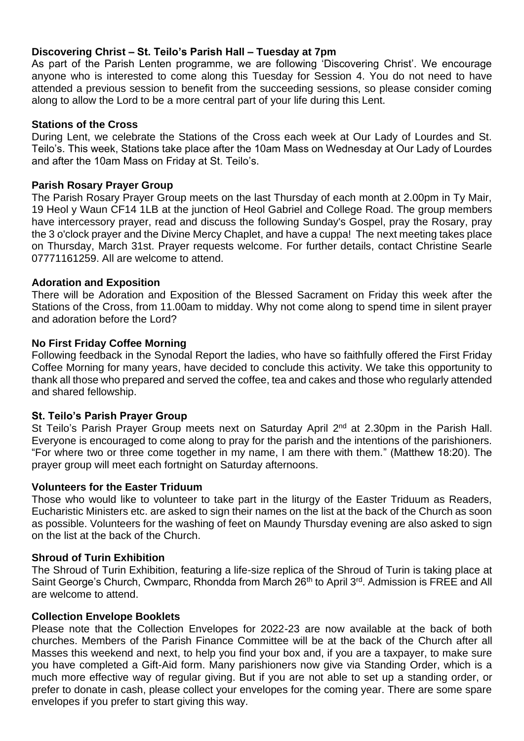## **Discovering Christ – St. Teilo's Parish Hall – Tuesday at 7pm**

As part of the Parish Lenten programme, we are following 'Discovering Christ'. We encourage anyone who is interested to come along this Tuesday for Session 4. You do not need to have attended a previous session to benefit from the succeeding sessions, so please consider coming along to allow the Lord to be a more central part of your life during this Lent.

#### **Stations of the Cross**

During Lent, we celebrate the Stations of the Cross each week at Our Lady of Lourdes and St. Teilo's. This week, Stations take place after the 10am Mass on Wednesday at Our Lady of Lourdes and after the 10am Mass on Friday at St. Teilo's.

#### **Parish Rosary Prayer Group**

The Parish Rosary Prayer Group meets on the last Thursday of each month at 2.00pm in Ty Mair, 19 Heol y Waun CF14 1LB at the junction of Heol Gabriel and College Road. The group members have intercessory prayer, read and discuss the following Sunday's Gospel, pray the Rosary, pray the 3 o'clock prayer and the Divine Mercy Chaplet, and have a cuppa! The next meeting takes place on Thursday, March 31st. Prayer requests welcome. For further details, contact Christine Searle 07771161259. All are welcome to attend.

#### **Adoration and Exposition**

There will be Adoration and Exposition of the Blessed Sacrament on Friday this week after the Stations of the Cross, from 11.00am to midday. Why not come along to spend time in silent prayer and adoration before the Lord?

#### **No First Friday Coffee Morning**

Following feedback in the Synodal Report the ladies, who have so faithfully offered the First Friday Coffee Morning for many years, have decided to conclude this activity. We take this opportunity to thank all those who prepared and served the coffee, tea and cakes and those who regularly attended and shared fellowship.

#### **St. Teilo's Parish Prayer Group**

St Teilo's Parish Prayer Group meets next on Saturday April 2<sup>nd</sup> at 2.30pm in the Parish Hall. Everyone is encouraged to come along to pray for the parish and the intentions of the parishioners. "For where two or three come together in my name, I am there with them." (Matthew 18:20). The prayer group will meet each fortnight on Saturday afternoons.

#### **Volunteers for the Easter Triduum**

Those who would like to volunteer to take part in the liturgy of the Easter Triduum as Readers, Eucharistic Ministers etc. are asked to sign their names on the list at the back of the Church as soon as possible. Volunteers for the washing of feet on Maundy Thursday evening are also asked to sign on the list at the back of the Church.

#### **Shroud of Turin Exhibition**

The Shroud of Turin Exhibition, featuring a life-size replica of the Shroud of Turin is taking place at Saint George's Church, Cwmparc, Rhondda from March 26<sup>th</sup> to April 3<sup>rd</sup>. Admission is FREE and All are welcome to attend.

#### **Collection Envelope Booklets**

Please note that the Collection Envelopes for 2022-23 are now available at the back of both churches. Members of the Parish Finance Committee will be at the back of the Church after all Masses this weekend and next, to help you find your box and, if you are a taxpayer, to make sure you have completed a Gift-Aid form. Many parishioners now give via Standing Order, which is a much more effective way of regular giving. But if you are not able to set up a standing order, or prefer to donate in cash, please collect your envelopes for the coming year. There are some spare envelopes if you prefer to start giving this way.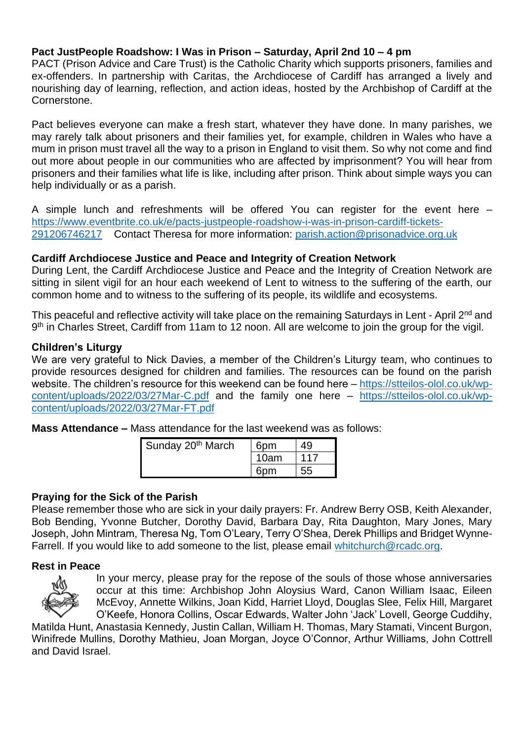## **Pact JustPeople Roadshow: I Was in Prison – Saturday, April 2nd 10 – 4 pm**

PACT (Prison Advice and Care Trust) is the Catholic Charity which supports prisoners, families and ex-offenders. In partnership with Caritas, the Archdiocese of Cardiff has arranged a lively and nourishing day of learning, reflection, and action ideas, hosted by the Archbishop of Cardiff at the Cornerstone.

Pact believes everyone can make a fresh start, whatever they have done. In many parishes, we may rarely talk about prisoners and their families yet, for example, children in Wales who have a mum in prison must travel all the way to a prison in England to visit them. So why not come and find out more about people in our communities who are affected by imprisonment? You will hear from prisoners and their families what life is like, including after prison. Think about simple ways you can help individually or as a parish.

A simple lunch and refreshments will be offered You can register for the event here – [https://www.eventbrite.co.uk/e/pacts-justpeople-roadshow-i-was-in-prison-cardiff-tickets-](https://www.eventbrite.co.uk/e/pacts-justpeople-roadshow-i-was-in-prison-cardiff-tickets-291206746217)[291206746217](https://www.eventbrite.co.uk/e/pacts-justpeople-roadshow-i-was-in-prison-cardiff-tickets-291206746217) Contact Theresa for more information: [parish.action@prisonadvice.org.uk](mailto:parish.action@prisonadvice.org.uk)

## **Cardiff Archdiocese Justice and Peace and Integrity of Creation Network**

During Lent, the Cardiff Archdiocese Justice and Peace and the Integrity of Creation Network are sitting in silent vigil for an hour each weekend of Lent to witness to the suffering of the earth, our common home and to witness to the suffering of its people, its wildlife and ecosystems.

This peaceful and reflective activity will take place on the remaining Saturdays in Lent - April 2<sup>nd</sup> and 9<sup>th</sup> in Charles Street, Cardiff from 11am to 12 noon. All are welcome to join the group for the vigil.

## **Children's Liturgy**

We are very grateful to Nick Davies, a member of the Children's Liturgy team, who continues to provide resources designed for children and families. The resources can be found on the parish website. The children's resource for this weekend can be found here – [https://stteilos-olol.co.uk/wp](https://stteilos-olol.co.uk/wp-content/uploads/2022/03/27Mar-C.pdf)[content/uploads/2022/03/27Mar-C.pdf](https://stteilos-olol.co.uk/wp-content/uploads/2022/03/27Mar-C.pdf) and the family one here – [https://stteilos-olol.co.uk/wp](https://stteilos-olol.co.uk/wp-content/uploads/2022/03/27Mar-FT.pdf)[content/uploads/2022/03/27Mar-FT.pdf](https://stteilos-olol.co.uk/wp-content/uploads/2022/03/27Mar-FT.pdf)

**Mass Attendance –** Mass attendance for the last weekend was as follows:

| Sunday 20 <sup>th</sup> March | 6 <sub>pm</sub> | 49  |
|-------------------------------|-----------------|-----|
|                               | 10am            | 117 |
|                               | 6nm             |     |

## **Praying for the Sick of the Parish**

Please remember those who are sick in your daily prayers: Fr. Andrew Berry OSB, Keith Alexander, Bob Bending, Yvonne Butcher, Dorothy David, Barbara Day, Rita Daughton, Mary Jones, Mary Joseph, John Mintram, Theresa Ng, Tom O'Leary, Terry O'Shea, Derek Phillips and Bridget WynneFarrell. If you would like to add someone to the list, please email [whitchurch@rcadc.org.](mailto:whitchurch@rcadc.org)

#### **Rest in Peace**



In your mercy, please pray for the repose of the souls of those whose anniversaries occur at this time: Archbishop John Aloysius Ward, Canon William Isaac, Eileen McEvoy, Annette Wilkins, Joan Kidd, Harriet Lloyd, Douglas Slee, Felix Hill, Margaret O'Keefe, Honora Collins, Oscar Edwards, Walter John 'Jack' Lovell, George Cuddihy,

Matilda Hunt, Anastasia Kennedy, Justin Callan, William H. Thomas, Mary Stamati, Vincent Burgon, Winifrede Mullins, Dorothy Mathieu, Joan Morgan, Joyce O'Connor, Arthur Williams, John Cottrell and David Israel.